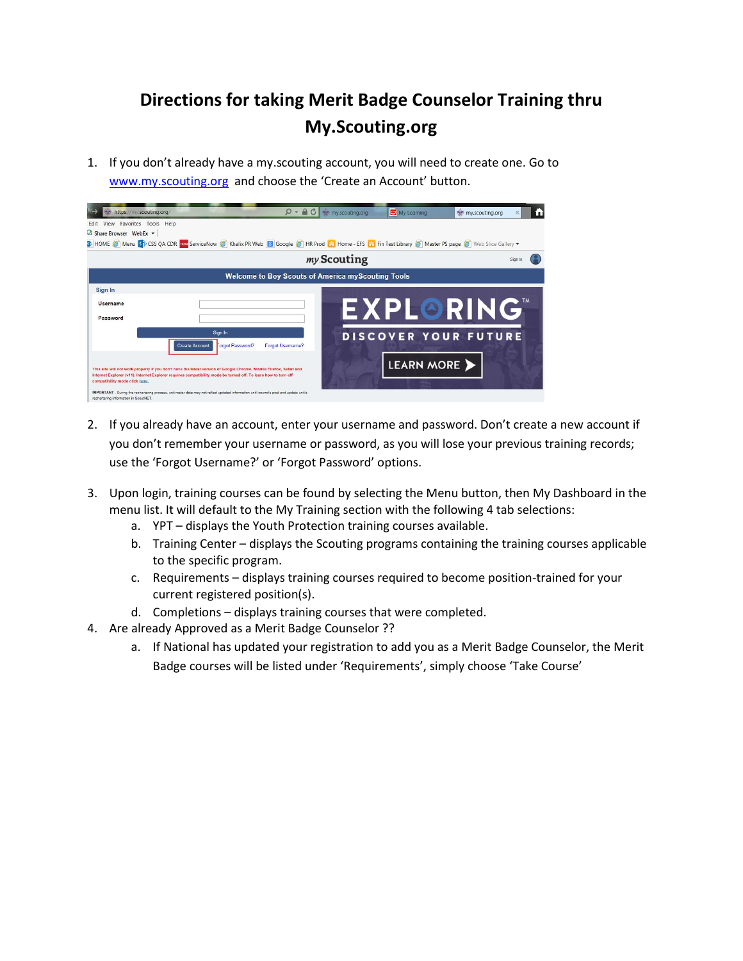## **Directions for taking Merit Badge Counselor Training thru My.Scouting.org**

1. If you don't already have a my.scouting account, you will need to create one. Go to [www.my.scouting.org](http://www.my.scouting.org/) and choose the 'Create an Account' button.

| https://my.scouting.org/                                                                                                                                                                                                                                                |                  | $\Omega$ + $\bigcirc$ $\bigcirc$ $\longrightarrow$ my.scouting.org | My Learning                 | my.scouting.org  |
|-------------------------------------------------------------------------------------------------------------------------------------------------------------------------------------------------------------------------------------------------------------------------|------------------|--------------------------------------------------------------------|-----------------------------|------------------|
| View Favorites Tools Help<br>Edit                                                                                                                                                                                                                                       |                  |                                                                    |                             |                  |
| <b>Co</b> Share Browser WebEx $\star$                                                                                                                                                                                                                                   |                  |                                                                    |                             |                  |
| > HOME @ Menu S CSS QA CDR now ServiceNow @ Khalix PR Web 8 Google @ HR Prod H Home - EFS H Fin Test Library @ Master PS page @ Web Slice Gallery                                                                                                                       |                  |                                                                    |                             |                  |
|                                                                                                                                                                                                                                                                         |                  | my Scouting                                                        |                             |                  |
|                                                                                                                                                                                                                                                                         |                  | <b>Welcome to Boy Scouts of America myScouting Tools</b>           |                             |                  |
| Sign In                                                                                                                                                                                                                                                                 |                  |                                                                    |                             |                  |
| <b>Username</b>                                                                                                                                                                                                                                                         |                  |                                                                    |                             |                  |
| Password                                                                                                                                                                                                                                                                |                  |                                                                    |                             | <b>EXPLORING</b> |
|                                                                                                                                                                                                                                                                         | Sign In          |                                                                    | <b>DISCOVER YOUR FUTURE</b> |                  |
| <b>Create Account</b>                                                                                                                                                                                                                                                   | Forgot Password? | Forgot Username?                                                   |                             |                  |
|                                                                                                                                                                                                                                                                         |                  |                                                                    | LEARN MORE                  |                  |
| This site will not work properly if you don't have the latest version of Google Chrome, Mozilla Firefox, Safari and<br>Internet Explorer (v11). Internet Explorer requires compatibility mode be turned off. To learn how to turn off<br>compatibility mode click here. |                  |                                                                    |                             |                  |
| IMPORTANT - During the rechartering process, unit roster data may not reflect updated information until councils post and update unit's<br>rechartering information in ScoutNET.                                                                                        |                  |                                                                    |                             |                  |

- 2. If you already have an account, enter your username and password. Don't create a new account if you don't remember your username or password, as you will lose your previous training records; use the 'Forgot Username?' or 'Forgot Password' options.
- 3. Upon login, training courses can be found by selecting the Menu button, then My Dashboard in the menu list. It will default to the My Training section with the following 4 tab selections:
	- a. YPT displays the Youth Protection training courses available.
	- b. Training Center displays the Scouting programs containing the training courses applicable to the specific program.
	- c. Requirements displays training courses required to become position-trained for your current registered position(s).
	- d. Completions displays training courses that were completed.
- 4. Are already Approved as a Merit Badge Counselor ??
	- a. If National has updated your registration to add you as a Merit Badge Counselor, the Merit Badge courses will be listed under 'Requirements', simply choose 'Take Course'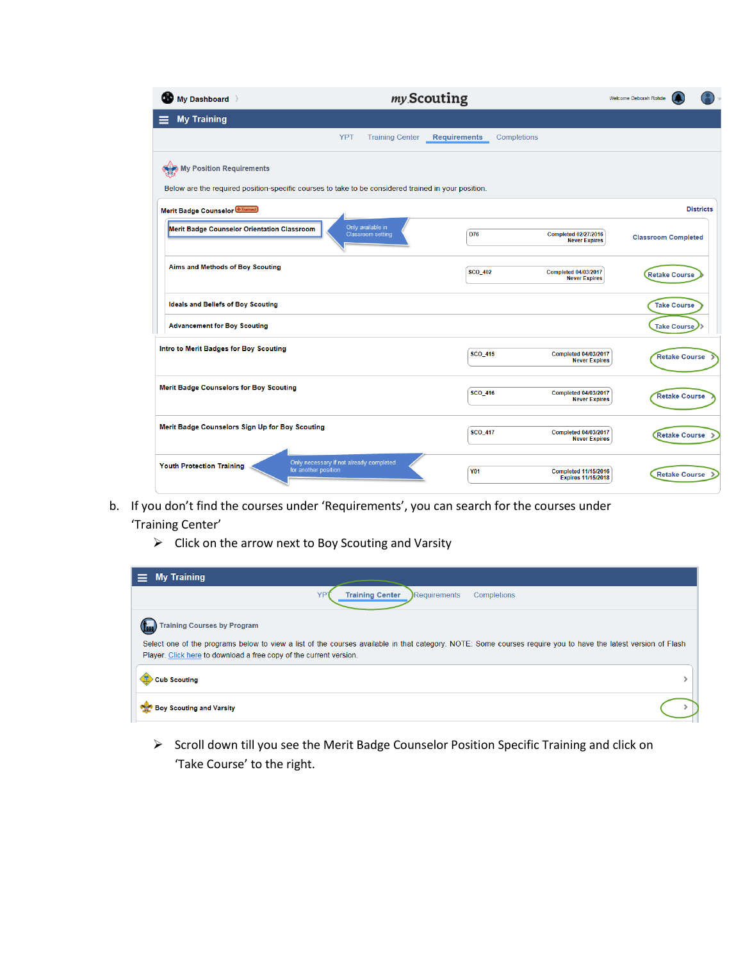| My Dashboard                                                                                        | my Scouting                                   |                                    |                                                          | Welcome Deborah Rohde      |                      |
|-----------------------------------------------------------------------------------------------------|-----------------------------------------------|------------------------------------|----------------------------------------------------------|----------------------------|----------------------|
| <b>My Training</b>                                                                                  |                                               |                                    |                                                          |                            |                      |
|                                                                                                     | <b>YPT</b><br><b>Training Center</b>          | Completions<br><b>Requirements</b> |                                                          |                            |                      |
| My Position Requirements                                                                            |                                               |                                    |                                                          |                            |                      |
| Below are the required position-specific courses to take to be considered trained in your position. |                                               |                                    |                                                          |                            |                      |
| Merit Badge Counselor <b>Example</b>                                                                |                                               |                                    |                                                          |                            | <b>Districts</b>     |
| Merit Badge Counselor Orientation Classroom                                                         | Only available in<br><b>Classroom setting</b> | D76                                | <b>Completed 02/27/2016</b><br><b>Never Expires</b>      | <b>Classroom Completed</b> |                      |
| Aims and Methods of Boy Scouting                                                                    |                                               | <b>SCO 402</b>                     | <b>Completed 04/03/2017</b><br><b>Never Expires</b>      | <b>Retake Course</b>       |                      |
| <b>Ideals and Beliefs of Boy Scouting</b>                                                           |                                               |                                    |                                                          |                            | <b>Take Course</b>   |
| <b>Advancement for Boy Scouting</b>                                                                 |                                               |                                    |                                                          |                            | <b>Take Course</b>   |
| Intro to Merit Badges for Boy Scouting                                                              |                                               | <b>SCO_415</b>                     | <b>Completed 04/03/2017</b><br><b>Never Expires</b>      |                            | <b>Retake Course</b> |
| <b>Merit Badge Counselors for Boy Scouting</b>                                                      |                                               | <b>SCO_416</b>                     | <b>Completed 04/03/2017</b><br><b>Never Expires</b>      |                            | <b>Retake Course</b> |
| Merit Badge Counselors Sign Up for Boy Scouting                                                     |                                               | <b>SCO_417</b>                     | <b>Completed 04/03/2017</b><br><b>Never Expires</b>      |                            | <b>Retake Course</b> |
| <b>Youth Protection Training</b><br>for another position                                            | Only necessary if not already completed       | <b>Y01</b>                         | <b>Completed 11/15/2016</b><br><b>Expires 11/15/2018</b> |                            | <b>Retake Course</b> |

- b. If you don't find the courses under 'Requirements', you can search for the courses under 'Training Center'
	- $\triangleright$  Click on the arrow next to Boy Scouting and Varsity

| <b>My Training</b>                                                 |                                                                                                                                                               |
|--------------------------------------------------------------------|---------------------------------------------------------------------------------------------------------------------------------------------------------------|
|                                                                    | <b>Training Center</b><br>Requirements<br>Completions                                                                                                         |
| <b>Training Courses by Program</b>                                 |                                                                                                                                                               |
| Player. Click here to download a free copy of the current version. | Select one of the programs below to view a list of the courses available in that category. NOTE: Some courses require you to have the latest version of Flash |
| <b>Cub Scouting</b>                                                |                                                                                                                                                               |
| <b>Boy Scouting and Varsity</b>                                    |                                                                                                                                                               |

 Scroll down till you see the Merit Badge Counselor Position Specific Training and click on 'Take Course' to the right.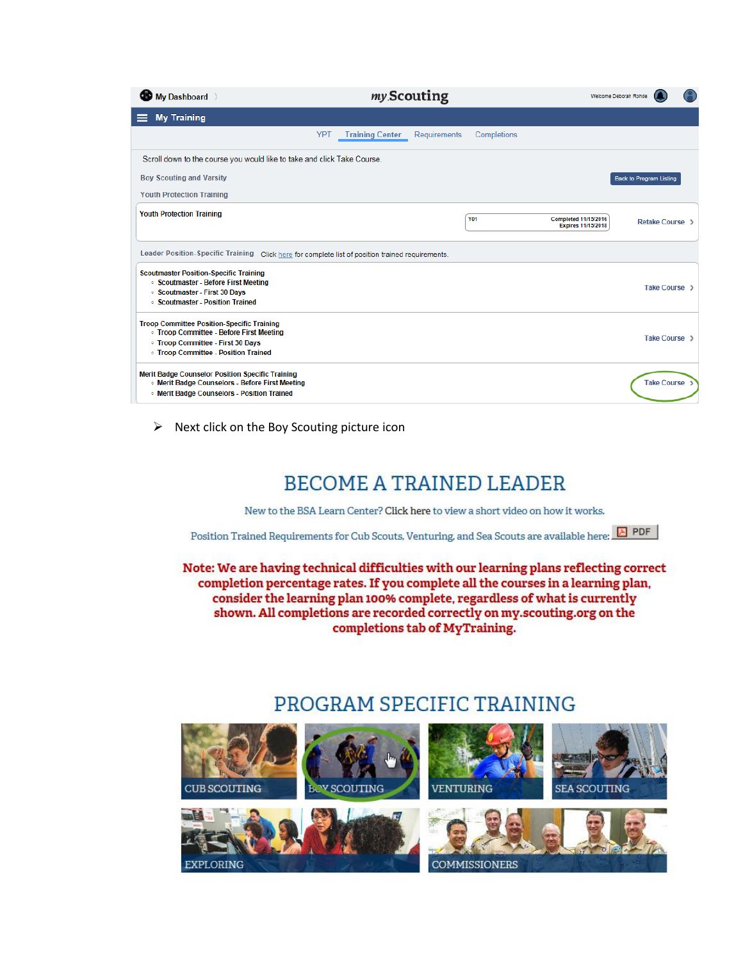| My Dashboard                                                                                                                                                                         | my Scouting                                                         | Welcome Deborah Rohde                                                            |
|--------------------------------------------------------------------------------------------------------------------------------------------------------------------------------------|---------------------------------------------------------------------|----------------------------------------------------------------------------------|
| <b>My Training</b>                                                                                                                                                                   |                                                                     |                                                                                  |
|                                                                                                                                                                                      | Completions<br><b>YPT</b><br><b>Training Center</b><br>Requirements |                                                                                  |
| Scroll down to the course you would like to take and click Take Course.                                                                                                              |                                                                     |                                                                                  |
| <b>Boy Scouting and Varsity</b>                                                                                                                                                      |                                                                     | <b>Back to Program Listing</b>                                                   |
| <b>Youth Protection Training</b>                                                                                                                                                     |                                                                     |                                                                                  |
| <b>Youth Protection Training</b>                                                                                                                                                     | <b>Y01</b>                                                          | <b>Completed 11/15/2016</b><br><b>Retake Course</b><br><b>Expires 11/15/2018</b> |
| Leader Position-Specific Training Click here for complete list of position trained requirements.                                                                                     |                                                                     |                                                                                  |
| <b>Scoutmaster Position-Specific Training</b><br>· Scoutmaster - Before First Meeting<br>○ Scoutmaster - First 30 Days<br>○ Scoutmaster - Position Trained                           |                                                                     | Take Course >                                                                    |
| <b>Troop Committee Position-Specific Training</b><br><b>Troop Committee - Before First Meeting</b><br>○ Troop Committee - First 30 Days<br><b>Troop Committee - Position Trained</b> |                                                                     | Take Course >                                                                    |
| Merit Badge Counselor Position Specific Training<br>. Merit Badge Counselors - Before First Meeting<br><b>In Merit Badge Counselors - Position Trained</b>                           |                                                                     | <b>Take Course</b>                                                               |

 $\triangleright$  Next click on the Boy Scouting picture icon

## **BECOME A TRAINED LEADER**

New to the BSA Learn Center? Click here to view a short video on how it works.

Position Trained Requirements for Cub Scouts, Venturing, and Sea Scouts are available here: **E** PDF

Note: We are having technical difficulties with our learning plans reflecting correct completion percentage rates. If you complete all the courses in a learning plan, consider the learning plan 100% complete, regardless of what is currently shown. All completions are recorded correctly on my.scouting.org on the completions tab of MyTraining.

## PROGRAM SPECIFIC TRAINING

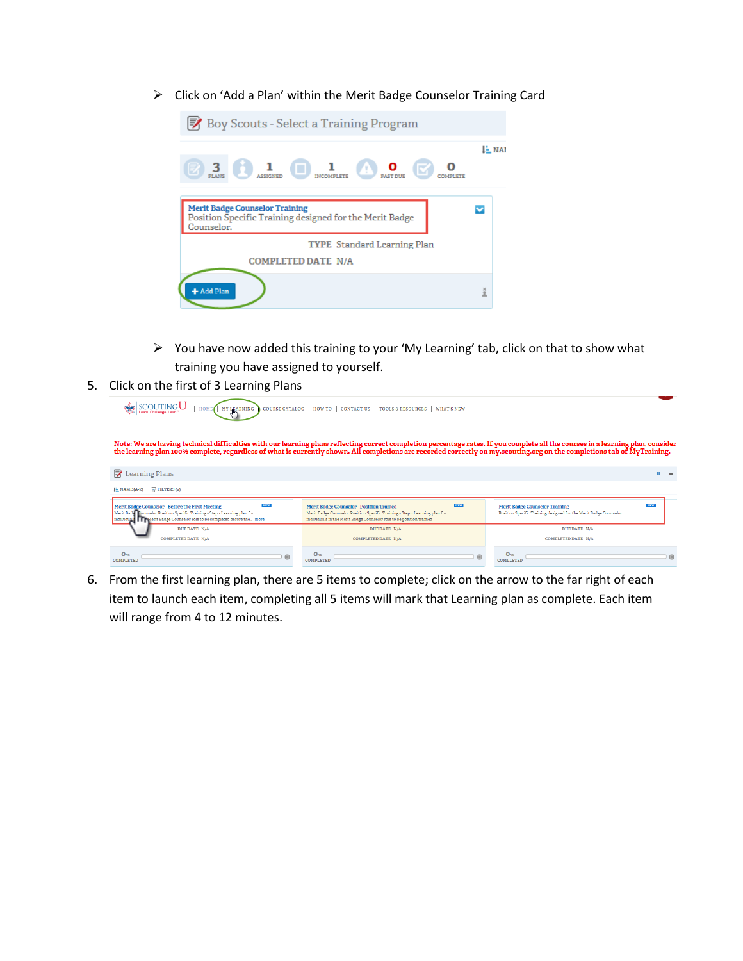Click on 'Add a Plan' within the Merit Badge Counselor Training Card



 You have now added this training to your 'My Learning' tab, click on that to show what training you have assigned to yourself.

| SCOUTING U<br>MY LEARNING<br>HOME                                                                                                                                                                                                                                                                                                                          | 5. Click on the first of 3 Learning Plans<br>COURSE CATALOG   HOW TO   CONTACT US   TOOLS & RESOURCES  <br>WHAT'S NEW                                                                                                |                                                                                                                           |
|------------------------------------------------------------------------------------------------------------------------------------------------------------------------------------------------------------------------------------------------------------------------------------------------------------------------------------------------------------|----------------------------------------------------------------------------------------------------------------------------------------------------------------------------------------------------------------------|---------------------------------------------------------------------------------------------------------------------------|
| Note: We are having technical difficulties with our learning plans reflecting correct completion percentage rates. If you complete all the courses in a learning plan, consider<br>the learning plan 100% complete, regardless of what is currently shown. All completions are recorded correctly on my.scouting.org on the completions tab of MyTraining. |                                                                                                                                                                                                                      |                                                                                                                           |
| <b>ラ</b> Learning Plans                                                                                                                                                                                                                                                                                                                                    |                                                                                                                                                                                                                      |                                                                                                                           |
| $\sqrt{r}$ FILTERS (=)<br>$I - NAME (A-Z)$                                                                                                                                                                                                                                                                                                                 |                                                                                                                                                                                                                      |                                                                                                                           |
| $1$<br>Merlt Badge Counselor - Before the First Meeting<br>Merit Badg Counselor Position Specific Training - Step 1 Learning plan for<br>individual <b>IT referit</b> Badge Counselor role to be completed before the more                                                                                                                                 | <b>NEW</b><br><b>Merit Badge Counselor - Position Trained</b><br>Merit Badge Counselor Position Specific Training - Step 2 Learning plan for<br>individuals in the Merit Badge Counselor role to be position trained | <b>NZW</b><br><b>Merlt Badge Counselor Training</b><br>Position Specific Training designed for the Merit Badge Counselor. |
| <b>DUE DATE N/A</b>                                                                                                                                                                                                                                                                                                                                        | <b>DUE DATE N/A</b>                                                                                                                                                                                                  | <b>DUE DATE N/A</b>                                                                                                       |
|                                                                                                                                                                                                                                                                                                                                                            | <b>COMPLETED DATE N/A</b>                                                                                                                                                                                            | <b>COMPLETED DATE N/A</b>                                                                                                 |
|                                                                                                                                                                                                                                                                                                                                                            |                                                                                                                                                                                                                      |                                                                                                                           |

6. From the first learning plan, there are 5 items to complete; click on the arrow to the far right of each item to launch each item, completing all 5 items will mark that Learning plan as complete. Each item will range from 4 to 12 minutes.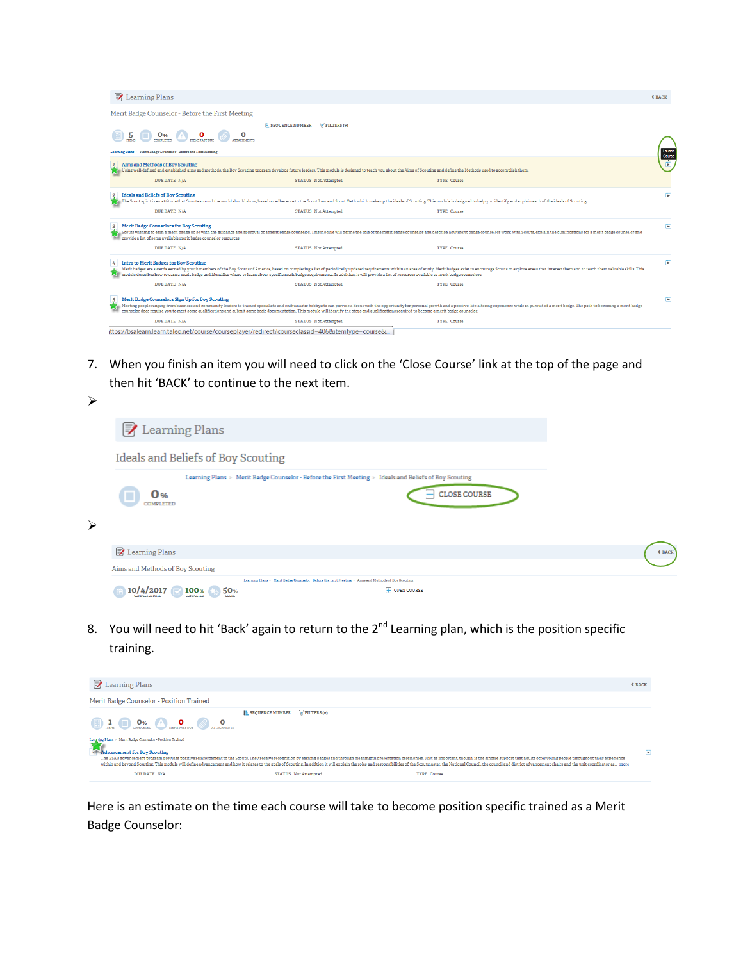| <b>ラ</b> Learning Plans                                                                                             |                                                  |                                                                                                                                                                                                |                                                                                                                                                                                                                                                                                                                                                                                                                                           | <b>≮ BACK</b>    |
|---------------------------------------------------------------------------------------------------------------------|--------------------------------------------------|------------------------------------------------------------------------------------------------------------------------------------------------------------------------------------------------|-------------------------------------------------------------------------------------------------------------------------------------------------------------------------------------------------------------------------------------------------------------------------------------------------------------------------------------------------------------------------------------------------------------------------------------------|------------------|
|                                                                                                                     | Merit Badge Counselor - Before the First Meeting |                                                                                                                                                                                                |                                                                                                                                                                                                                                                                                                                                                                                                                                           |                  |
| 0%                                                                                                                  |                                                  | <b>E</b> SEQUENCE NUMBER<br>$W$ FILTERS $(e)$                                                                                                                                                  |                                                                                                                                                                                                                                                                                                                                                                                                                                           |                  |
| Learning Plans > Merit Badge Counselor - Before the First Meeting                                                   |                                                  |                                                                                                                                                                                                |                                                                                                                                                                                                                                                                                                                                                                                                                                           | Launch<br>Course |
| Alms and Methods of Boy Scouting                                                                                    |                                                  |                                                                                                                                                                                                | Using well-defined and established aims and methods, the Boy Scouting program develops future leaders. This module is designed to teach you about the Aims of Scouting and define the Methods used to accomplish them.                                                                                                                                                                                                                    |                  |
| <b>DUE DATE N/A</b>                                                                                                 |                                                  | <b>STATUS</b> Not Attempted                                                                                                                                                                    | <b>TYPE Course</b>                                                                                                                                                                                                                                                                                                                                                                                                                        |                  |
| <b>Ideals and Bellefs of Boy Scouting</b><br>DUE DATE N/A                                                           |                                                  | <b>STATUS</b> Not Attempted                                                                                                                                                                    | The Scout spirit is an attitude that Scouts around the world should show, based on adherence to the Scout Law and Scout Oath which make up the ideals of Scouting. This module is designed to help you identify and explain ea<br><b>TYPE Course</b>                                                                                                                                                                                      | $\overline{P}$   |
| <b>Merlt Badge Counselors for Boy Scouting</b><br>provide a list of some available merit badge counselor resources. |                                                  |                                                                                                                                                                                                | Scouts wishing to earn a merit badge do so with the guidance and approval of a merit badge counselor. This module will define the role of the merit badge counselor and describe how merit badge counselor and describe how me                                                                                                                                                                                                            | $\blacksquare$   |
| <b>DUE DATE N/A</b>                                                                                                 |                                                  | <b>STATUS</b> Not Attempted                                                                                                                                                                    | <b>TYPE Course</b>                                                                                                                                                                                                                                                                                                                                                                                                                        |                  |
| <b>Intro to Merit Badges for Boy Scouting</b><br>4                                                                  |                                                  |                                                                                                                                                                                                | Merit badges are awards earned by youth members of the Boy Scouts of America, based on completing a list of periodically updated requirements within an area of study. Merit badges exist to encourage Scouts to explore areas<br>module describes how to earn a merit badge and identifies where to learn about specific merit badge requirements. In addition, it will provide a list of resources available to merit badge counselors. | $\overline{P}$   |
| DUE DATE N/A                                                                                                        |                                                  | <b>STATUS</b> Not Attempted                                                                                                                                                                    | <b>TYPE Course</b>                                                                                                                                                                                                                                                                                                                                                                                                                        |                  |
| Merlt Badge Counselors Sign Up for Boy Scouting                                                                     |                                                  | counselor does require you to meet some qualifications and submit some basic documentation. This module will identify the steps and qualifications required to become a merit badge counselor. | Meeting people ranging from business and community leaders to trained specialists and enthusiastic hobbyists can provide a Scout with the opportunity for personal growth and a positive, life-altering experience while in pu                                                                                                                                                                                                            | $\overline{P}$   |
| <b>DUE DATE N/A</b>                                                                                                 |                                                  | <b>STATUS</b> Not Attempted                                                                                                                                                                    | <b>TYPE Course</b>                                                                                                                                                                                                                                                                                                                                                                                                                        |                  |
|                                                                                                                     |                                                  | ittps://bsalearn.learn.taleo.net/course/courseplayer/redirect?courseclassid=406&itemtype=course&                                                                                               |                                                                                                                                                                                                                                                                                                                                                                                                                                           |                  |

7. When you finish an item you will need to click on the 'Close Course' link at the top of the page and then hit 'BACK' to continue to the next item.

| ⋗                     |                                    |                                                                                                                               |               |
|-----------------------|------------------------------------|-------------------------------------------------------------------------------------------------------------------------------|---------------|
|                       | <b>M</b> Learning Plans            |                                                                                                                               |               |
|                       |                                    | Ideals and Beliefs of Boy Scouting                                                                                            |               |
|                       | 0 %<br>COMPLETED                   | Learning Plans > Merit Badge Counselor - Before the First Meeting > Ideals and Beliefs of Boy Scouting<br><b>CLOSE COURSE</b> |               |
| $\blacktriangleright$ | <b>A</b> Learning Plans            |                                                                                                                               | <b>≮ BACK</b> |
|                       | Aims and Methods of Boy Scouting   |                                                                                                                               |               |
|                       |                                    | Learning Plans > Merit Badge Counselor - Before the First Meeting > Aims and Methods of Boy Scouting                          |               |
|                       | 10/4/2017<br><b>COMPLETED DATE</b> | 100 <sub>%</sub><br>$\overline{+}$ OPEN COURSE<br>50 <sub>%</sub><br><b>SCORE</b><br>COMPLETED                                |               |

8. You will need to hit 'Back' again to return to the 2<sup>nd</sup> Learning plan, which is the position specific training.

| <b>ラ</b> Learning Plans                                    |                                               |                                                                                                                                                                                                                                                                                                                                                                                                                                                                                        | <b>≮ BACK</b> |
|------------------------------------------------------------|-----------------------------------------------|----------------------------------------------------------------------------------------------------------------------------------------------------------------------------------------------------------------------------------------------------------------------------------------------------------------------------------------------------------------------------------------------------------------------------------------------------------------------------------------|---------------|
| Merit Badge Counselor - Position Trained                   |                                               |                                                                                                                                                                                                                                                                                                                                                                                                                                                                                        |               |
| Ler wing Plans > Merit Badge Counselor - Position Trained  | <b>E</b> SEQUENCE NUMBER<br>$W$ FILTERS $(w)$ |                                                                                                                                                                                                                                                                                                                                                                                                                                                                                        |               |
| <b>Advancement for Boy Scouting</b><br><b>DUE DATE N/A</b> | <b>STATUS</b> Not Attempted                   | The BSA's advancement program provides positive reinforcement to the Scouts. They receive recognition by earning badges and through meaningful presentation ceremonies. Just as important, though, is the sincere support that<br>within and beyond Scouting. This module will define advancement and how it relates to the goals of Scouting. In addtion it will explain the roles and responsibilities of the Scoutimater, the National Council, the council a<br><b>TYPE Course</b> | D.            |

Here is an estimate on the time each course will take to become position specific trained as a Merit Badge Counselor: